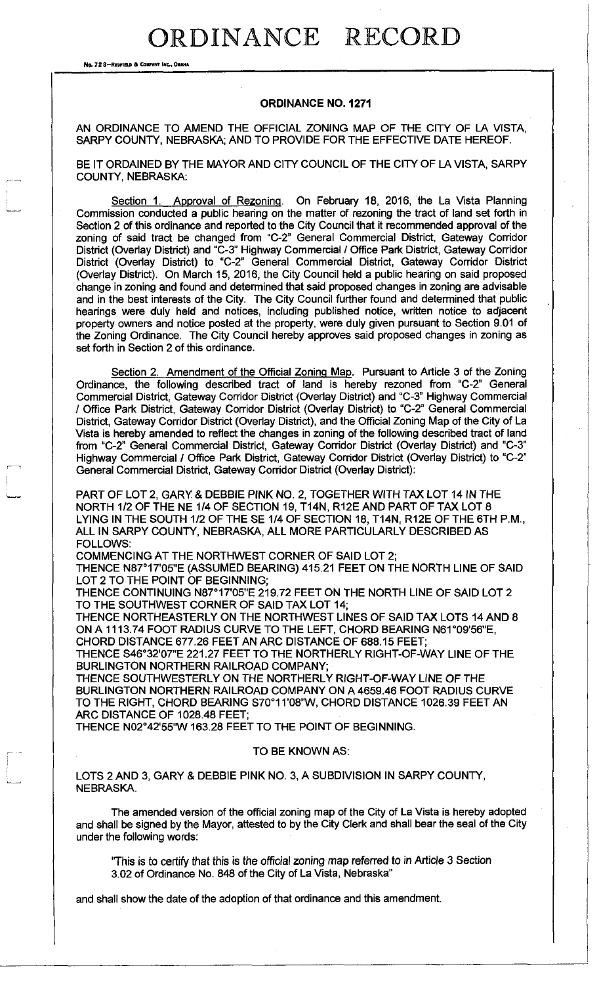## ORDINANCE RECORD

No. 72 8-REDFELD & COMPANY INC., OI

## **ORDINANCE NO. 1271**

AN ORDINANCE TO AMEND THE OFFICIAL ZONING MAP OF THE CITY OF LA VISTA, SARPY COUNTY, NEBRASKA; AND TO PROVIDE FOR THE EFFECTIVE DATE HEREOF.

BE IT ORDAINED BY THE MAYOR AND CITY COUNCIL OF THE CITY OF LA VISTA, SARPY COUNTY, NEBRASKA:

Section 1. Approval of Rezoning. On February 18, 2016, the La Vista Planning Commission conducted a public hearing on the matter of rezoning the tract of land set forth in Section 2 of this ordinance and reported to the City Council that it recommended approval of the zoning of said tract be changed from "C-2" General Commercial District, Gateway Corridor District (Overlay District) and "C-3" Highway Commercial / Office Park District, Gateway Corridor District (Overlay District) to "C-2" General Commercial District, Gateway Corridor District (Overlay District). On March 15, 2016, the City Council held a public hearing on said proposed change in zoning and found and determined that said proposed changes in zoning are advisable and in the best interests of the City. The City Council further found and determined that public hearings were duly held and notices, including published notice, written notice to adjacent property owners and notice posted at the property, were duly given pursuant to Section 9.01 of the Zoning Ordinance. The City Council hereby approves said proposed changes in zoning as set forth in Section 2 of this ordinance.

Section 2. Amendment of the Official Zoning Map. Pursuant to Article 3 of the Zoning Ordinance, the following described tract of land is hereby rezoned from "C-2" General Commercial District, Gateway Corridor District (Overlay District) and "C-3" Highway Commercial / Office Park District, Gateway Corridor District (Overlay District) to "C-2" General Commercial District, Gateway Corridor District (Overlay District), and the Official Zoning Map of the City of La Vista is hereby amended to reflect the changes in zoning of the following described tract of land from "C-2" General Commercial District, Gateway Corridor District (Overlay District) and "C-3" Highway Commercial / Office Park District, Gateway Corridor District (Overlay District) to "C-2" General Commercial District, Gateway Corridor District (Overlay District):

PART OF LOT 2, GARY & DEBBIE PINK NO. 2, TOGETHER WITH TAX LOT 14 IN THE NORTH 1/2 OF THE NE 1/4 OF SECTION 19, T14N, R12E AND PART OF TAX LOT 8 LYING IN THE SOUTH 1/2 OF THE SE 1/4 OF SECTION 18, T14N, R12E OF THE 6TH P.M., ALL IN SARPY COUNTY, NEBRASKA, ALL MORE PARTICULARLY DESCRIBED AS FOLLOWS:

COMMENCING AT THE NORTHWEST CORNER OF SAID LOT 2;

THENCE N87°17'05"E (ASSUMED BEARING) 415.21 FEET ON THE NORTH LINE OF SAID LOT 2 TO THE POINT OF BEGINNING;

THENCE CONTINUING N87°17'05"E 219.72 FEET ON THE NORTH LINE OF SAID LOT 2 TO THE SOUTHWEST CORNER OF SAID TAX LOT 14;

THENCE NORTHEASTERLY ON THE NORTHWEST LINES OF SAID TAX LOTS 14 AND 8 ON A 1113.74 FOOT RADIUS CURVE TO THE LEFT, CHORD BEARING N61°09'56"E, CHORD DISTANCE 677.26 FEET AN ARC DISTANCE OF 688.15 FEET;

THENCE S46°32'07"E 221.27 FEET TO THE NORTHERLY RIGHT-OF-WAY LINE OF THE BURLINGTON NORTHERN RAILROAD COMPANY;

THENCE SOUTHWESTERLY ON THE NORTHERLY RIGHT-OF-WAY LINE OF THE BURLINGTON NORTHERN RAILROAD COMPANY ON A 4659.46 FOOT RADIUS CURVE TO THE RIGHT, CHORD BEARING S70°11'08"W, CHORD DISTANCE 1026.39 FEET AN ARC DISTANCE OF 1028.48 FEET;

THENCE N02°42'55"W 163.28 FEET TO THE POINT OF BEGINNING.

## TO BE KNOWN AS:

LOTS 2 AND 3, GARY & DEBBIE PINK NO. 3, A SUBDIVISION IN SARPY COUNTY, NEBRASKA.

The amended version of the official zoning map of the City of La Vista is hereby adopted and shall be signed by the Mayor, attested to by the City Clerk and shall bear the seal of the City under the following words:

'This is to certify that this is the official zoning map referred to in Article 3 Section 3.02 of Ordinance No. 848 of the City of La Vista, Nebraska"

and shall show the date of the adoption of that ordinance and this amendment.